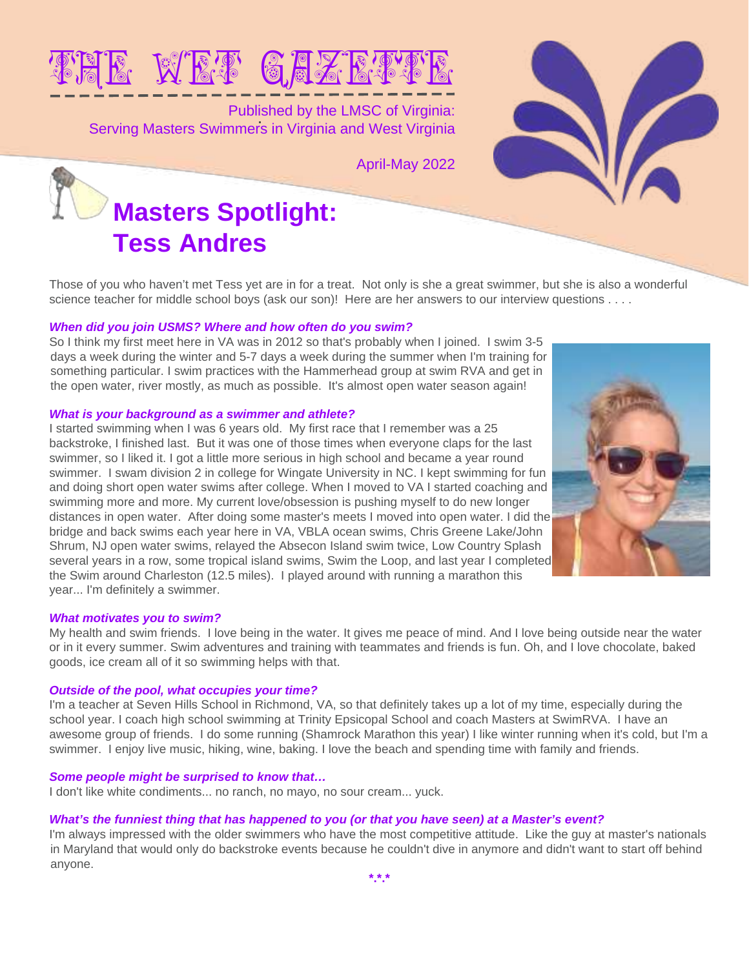

Published by the LMSC of Virginia: Serving Masters Swimmers in Virginia and West Virginia

April-May 2022



Those of you who haven't met Tess yet are in for a treat. Not only is she a great swimmer, but she is also a wonderful science teacher for middle school boys (ask our son)! Here are her answers to our interview questions . . . .

### **When did you join USMS? Where and how often do you swim?**

So I think my first meet here in VA was in 2012 so that's probably when I joined. I swim 3-5 days a week during the winter and 5-7 days a week during the summer when I'm training for something particular. I swim practices with the Hammerhead group at swim RVA and get in the open water, river mostly, as much as possible. It's almost open water season again!

### **What is your background as a swimmer and athlete?**

I started swimming when I was 6 years old. My first race that I remember was a 25 backstroke, I finished last. But it was one of those times when everyone claps for the last swimmer, so I liked it. I got a little more serious in high school and became a year round swimmer. I swam division 2 in college for Wingate University in NC. I kept swimming for fun and doing short open water swims after college. When I moved to VA I started coaching and swimming more and more. My current love/obsession is pushing myself to do new longer distances in open water. After doing some master's meets I moved into open water. I did the bridge and back swims each year here in VA, VBLA ocean swims, Chris Greene Lake/John Shrum, NJ open water swims, relayed the Absecon Island swim twice, Low Country Splash several years in a row, some tropical island swims, Swim the Loop, and last year I completed the Swim around Charleston (12.5 miles). I played around with running a marathon this year... I'm definitely a swimmer.

### **What motivates you to swim?**

My health and swim friends. I love being in the water. It gives me peace of mind. And I love being outside near the water or in it every summer. Swim adventures and training with teammates and friends is fun. Oh, and I love chocolate, baked goods, ice cream all of it so swimming helps with that.

### **Outside of the pool, what occupies your time?**

I'm a teacher at Seven Hills School in Richmond, VA, so that definitely takes up a lot of my time, especially during the school year. I coach high school swimming at Trinity Epsicopal School and coach Masters at SwimRVA. I have an awesome group of friends. I do some running (Shamrock Marathon this year) I like winter running when it's cold, but I'm a swimmer. I enjoy live music, hiking, wine, baking. I love the beach and spending time with family and friends.

### **Some people might be surprised to know that…**

I don't like white condiments... no ranch, no mayo, no sour cream... yuck.

### **What's the funniest thing that has happened to you (or that you have seen) at a Master's event?**

I'm always impressed with the older swimmers who have the most competitive attitude. Like the guy at master's nationals in Maryland that would only do backstroke events because he couldn't dive in anymore and didn't want to start off behind anyone.

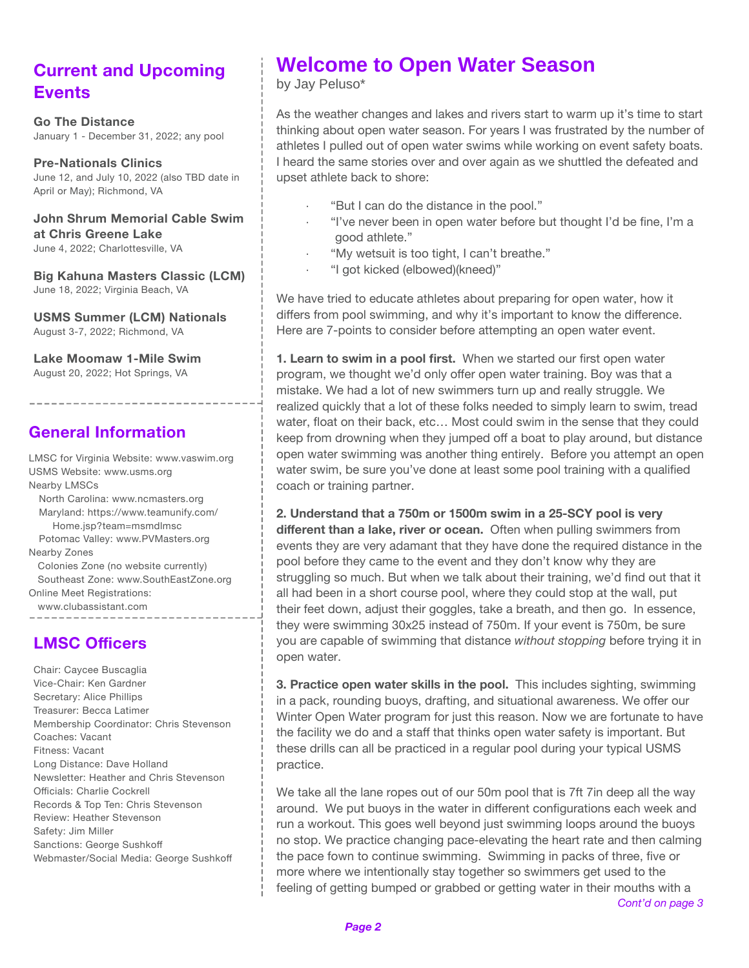# **Current and Upcoming Events**

**Go The Distance** January 1 - December 31, 2022; any pool

**Pre-Nationals Clinics** June 12, and July 10, 2022 (also TBD date in April or May); Richmond, VA

**John Shrum Memorial Cable Swim at Chris Greene Lake** June 4, 2022; Charlottesville, VA

**Big Kahuna Masters Classic (LCM)** June 18, 2022; Virginia Beach, VA

**USMS Summer (LCM) Nationals** August 3-7, 2022; Richmond, VA

**Lake Moomaw 1-Mile Swim** August 20, 2022; Hot Springs, VA

## **General Information**

\_\_\_\_\_\_\_\_\_\_\_\_\_\_\_

LMSC for Virginia Website: [www.vaswim.org](http://www.vaswim.org) USMS Website: [www.usms.org](http://www.usms.org) Nearby LMSCs North Carolina: [www.ncmasters.org](http://www.ncmasters.org) M[aryland: https://www.teamunify.com/](https://www.teamunify.com/Home.jsp?team=msmdlmsc) Home.jsp?team=msmdlmsc Potomac Valley: [www.PVMasters.org](http://www.PVMasters.org) Nearby Zones Colonies Zone (no website currently) Southeast Zone: www.SouthEastZone.org Online Meet Registrations: [www.clubassistant.com](https://www.clubassistant.com) ----------------

### **LMSC Officers**

Chair: Caycee Buscaglia Vice-Chair: Ken Gardner Secretary: Alice Phillips Treasurer: Becca Latimer Membership Coordinator: Chris Stevenson Coaches: Vacant Fitness: Vacant Long Distance: Dave Holland Newsletter: Heather and Chris Stevenson Officials: Charlie Cockrell Records & Top Ten: Chris Stevenson Review: Heather Stevenson Safety: Jim Miller Sanctions: George Sushkoff Webmaster/Social Media: George Sushkoff

# **Welcome to Open Water Season**

by Jay Peluso\*

As the weather changes and lakes and rivers start to warm up it's time to start thinking about open water season. For years I was frustrated by the number of athletes I pulled out of open water swims while working on event safety boats. I heard the same stories over and over again as we shuttled the defeated and upset athlete back to shore:

- · "But I can do the distance in the pool."
- · "I've never been in open water before but thought I'd be fine, I'm a good athlete."
- · "My wetsuit is too tight, I can't breathe."
- · "I got kicked (elbowed)(kneed)"

We have tried to educate athletes about preparing for open water, how it differs from pool swimming, and why it's important to know the difference. Here are 7-points to consider before attempting an open water event.

**1. Learn to swim in a pool first.** When we started our first open water program, we thought we'd only offer open water training. Boy was that a mistake. We had a lot of new swimmers turn up and really struggle. We realized quickly that a lot of these folks needed to simply learn to swim, tread water, float on their back, etc… Most could swim in the sense that they could keep from drowning when they jumped off a boat to play around, but distance open water swimming was another thing entirely. Before you attempt an open water swim, be sure you've done at least some pool training with a qualified coach or training partner.

**2. Understand that a 750m or 1500m swim in a 25-SCY pool is very different than a lake, river or ocean.** Often when pulling swimmers from events they are very adamant that they have done the required distance in the pool before they came to the event and they don't know why they are struggling so much. But when we talk about their training, we'd find out that it all had been in a short course pool, where they could stop at the wall, put their feet down, adjust their goggles, take a breath, and then go. In essence, they were swimming 30x25 instead of 750m. If your event is 750m, be sure you are capable of swimming that distance *without stopping* before trying it in open water.

**3. Practice open water skills in the pool.** This includes sighting, swimming in a pack, rounding buoys, drafting, and situational awareness. We offer our Winter Open Water program for just this reason. Now we are fortunate to have the facility we do and a staff that thinks open water safety is important. But these drills can all be practiced in a regular pool during your typical USMS practice.

We take all the lane ropes out of our 50m pool that is 7ft 7in deep all the way around. We put buoys in the water in different configurations each week and run a workout. This goes well beyond just swimming loops around the buoys no stop. We practice changing pace-elevating the heart rate and then calming the pace fown to continue swimming. Swimming in packs of three, five or more where we intentionally stay together so swimmers get used to the feeling of getting bumped or grabbed or getting water in their mouths with a